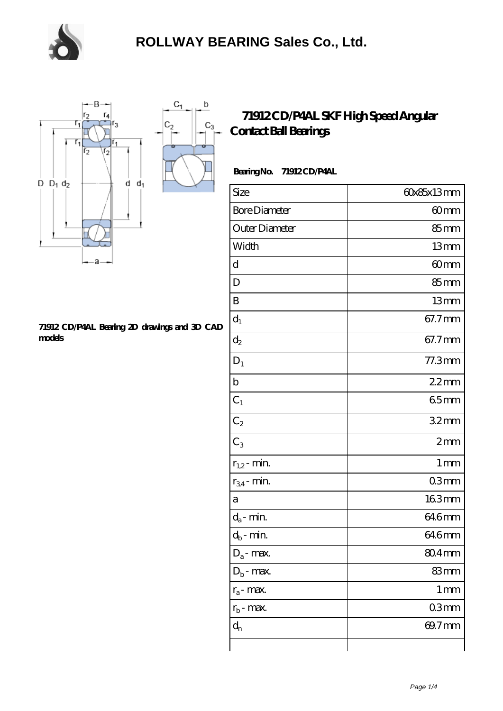



## **[71912 CD/P4AL Bearing 2D drawings and 3D CAD](https://m.chooseyourcufflinks.com/pic-938529.html) [models](https://m.chooseyourcufflinks.com/pic-938529.html)**

## **[71912 CD/P4AL SKF High Speed Angular](https://m.chooseyourcufflinks.com/skf-bearing/71912-cd-p4al.html) [Contact Ball Bearings](https://m.chooseyourcufflinks.com/skf-bearing/71912-cd-p4al.html)**

 **Bearing No. 71912 CD/P4AL**

| Size                 | 60x85x13mm        |
|----------------------|-------------------|
| <b>Bore Diameter</b> | 60mm              |
| Outer Diameter       | 85mm              |
| Width                | 13mm              |
| d                    | 60mm              |
| D                    | 85mm              |
| B                    | 13mm              |
| $d_1$                | 67.7mm            |
| $\mathrm{d}_2$       | 67.7mm            |
| $D_1$                | $77.3$ mm         |
| $\mathbf b$          | 22mm              |
| $C_1$                | 65mm              |
| $C_2$                | 32mm              |
| $C_3$                | 2mm               |
| $r_{1,2}$ - min.     | 1 <sub>mm</sub>   |
| $r_{34}$ - min.      | 03mm              |
| a                    | 163mm             |
| $d_a$ - min.         | 646mm             |
| $d_b$ - min.         | 646mm             |
| $D_a$ - max.         | 804mm             |
| $D_b$ - max.         | 83mm              |
| $r_a$ - max.         | $1 \,\mathrm{mm}$ |
| $r_{b}$ - max.       | 03mm              |
| $d_{n}$              | 69.7mm            |
|                      |                   |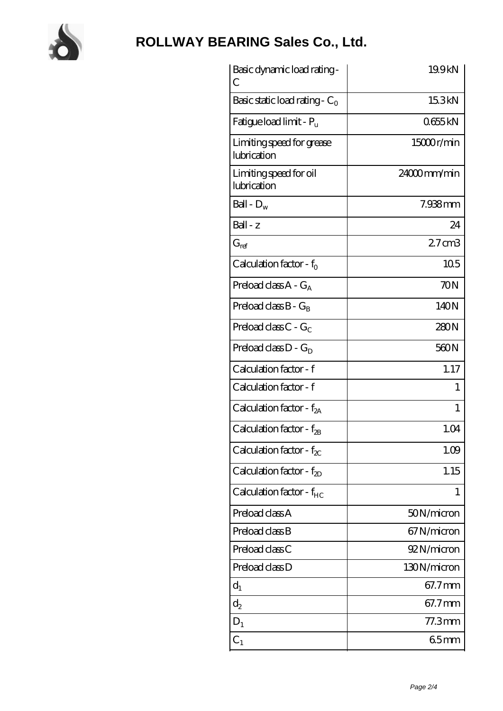

## **[ROLLWAY BEARING Sales Co., Ltd.](https://m.chooseyourcufflinks.com)**

| Basic dynamic load rating -<br>С         | 19.9kN          |
|------------------------------------------|-----------------|
| Basic static load rating - $C_0$         | 15.3kN          |
| Fatigue load limit - $P_{\rm u}$         | 0655kN          |
| Limiting speed for grease<br>lubrication | 15000r/min      |
| Limiting speed for oil<br>lubrication    | 24000mm/min     |
| Ball - $D_w$                             | 7.938mm         |
| $Ball - z$                               | 24              |
| $G_{ref}$                                | $27 \text{ cm}$ |
| Calculation factor - $f_0$               | 10 <sub>5</sub> |
| Preload class $A - G_A$                  | 70N             |
| Preload class $B - G_B$                  | 140N            |
| Preload class $C - G_C$                  | 280N            |
| Preload class $D - G_D$                  | 560N            |
| Calculation factor - f                   | 1.17            |
| Calculation factor - f                   | 1               |
| Calculation factor - f <sub>2A</sub>     | 1               |
| Calculation factor - $f_{\mathcal{B}}$   | 1.04            |
| Calculation factor - $f_{\chi}$          | 1.09            |
| Calculation factor - $f_{2D}$            | 1.15            |
| Calculation factor - $f_{HC}$            | 1               |
| Preload class A                          | 50N/micron      |
| Preload class B                          | 67N/micron      |
| Preload class C                          | 92N/micron      |
| Preload class D                          | 130N/micron     |
| $d_1$                                    | 67.7mm          |
| $\mathrm{d}_2$                           | 67.7mm          |
| $D_1$                                    | $77.3$ mm       |
| $C_{1}$                                  | 65mm            |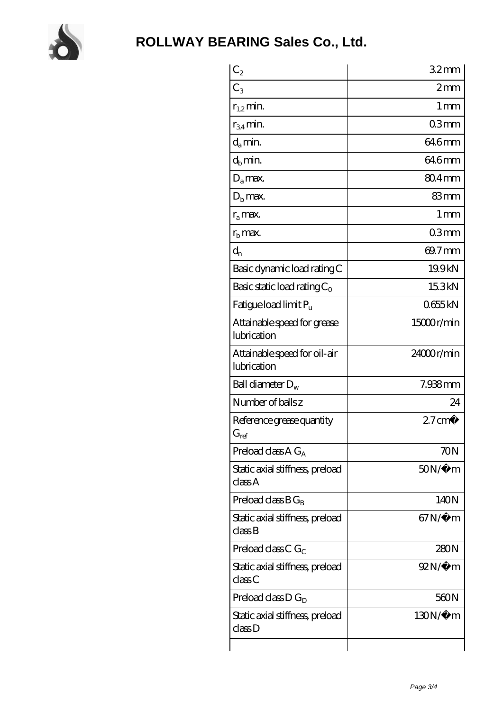

| $C_2$                                       | 32 <sub>mm</sub>  |
|---------------------------------------------|-------------------|
| $C_3$                                       | 2mm               |
| $r_{1,2}$ min.                              | $1 \,\mathrm{mm}$ |
| $r_{34}$ min.                               | 03mm              |
| $d_{a}$ min.                                | 64.6mm            |
| $d_h$ min.                                  | 64.6mm            |
| $D_a$ max.                                  | $804$ mm          |
| $Db$ max.                                   | 83mm              |
| $r_a$ max.                                  | 1 <sub>mm</sub>   |
| $rb$ max.                                   | 03mm              |
| $d_{n}$                                     | 69.7mm            |
| Basic dynamic load rating C                 | 19.9kN            |
| Basic static load rating $C_0$              | 15.3kN            |
| Fatigue load limit Pu                       | 0655kN            |
| Attainable speed for grease<br>lubrication  | 15000r/min        |
| Attainable speed for oil-air<br>lubrication | 24000r/min        |
| Ball diameter $D_w$                         | 7.938mm           |
| Number of balls z                           | 24                |
| Reference grease quantity<br>$G_{ref}$      | $27 \text{ cm}^3$ |
| Preload class $A G_A$                       | 70N               |
| Static axial stiffness, preload<br>classA   | $50N/\mu$ m       |
| Preload class $BG_B$                        | 140 <sub>N</sub>  |
| Static axial stiffness, preload<br>classB   | $67N/\mu$ m       |
| Preload class C $G_C$                       | 280N              |
| Static axial stiffness, preload<br>classC   | $92N/\mu$ m       |
| Preload class $D G_D$                       | 560N              |
| Static axial stiffness, preload<br>classD   | 130N/μ m          |
|                                             |                   |